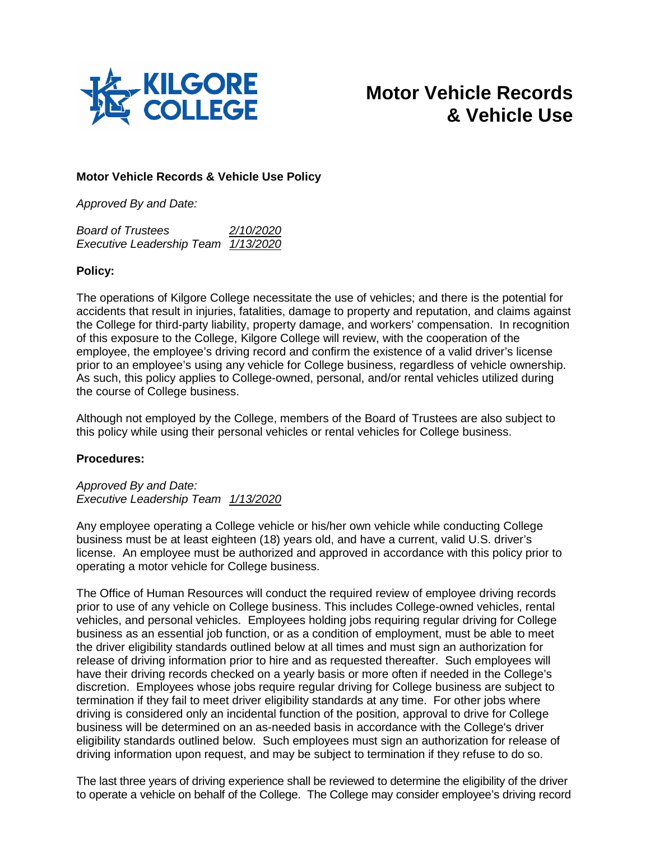

# **Motor Vehicle Records & Vehicle Use**

## **Motor Vehicle Records & Vehicle Use Policy**

*Approved By and Date:*

| <b>Board of Trustees</b>            | 2/10/2020 |
|-------------------------------------|-----------|
| Executive Leadership Team 1/13/2020 |           |

### **Policy:**

The operations of Kilgore College necessitate the use of vehicles; and there is the potential for accidents that result in injuries, fatalities, damage to property and reputation, and claims against the College for third-party liability, property damage, and workers' compensation. In recognition of this exposure to the College, Kilgore College will review, with the cooperation of the employee, the employee's driving record and confirm the existence of a valid driver's license prior to an employee's using any vehicle for College business, regardless of vehicle ownership. As such, this policy applies to College-owned, personal, and/or rental vehicles utilized during the course of College business.

Although not employed by the College, members of the Board of Trustees are also subject to this policy while using their personal vehicles or rental vehicles for College business.

### **Procedures:**

*Approved By and Date: Executive Leadership Team 1/13/2020*

Any employee operating a College vehicle or his/her own vehicle while conducting College business must be at least eighteen (18) years old, and have a current, valid U.S. driver's license. An employee must be authorized and approved in accordance with this policy prior to operating a motor vehicle for College business.

The Office of Human Resources will conduct the required review of employee driving records prior to use of any vehicle on College business. This includes College-owned vehicles, rental vehicles, and personal vehicles. Employees holding jobs requiring regular driving for College business as an essential job function, or as a condition of employment, must be able to meet the driver eligibility standards outlined below at all times and must sign an authorization for release of driving information prior to hire and as requested thereafter. Such employees will have their driving records checked on a yearly basis or more often if needed in the College's discretion. Employees whose jobs require regular driving for College business are subject to termination if they fail to meet driver eligibility standards at any time. For other jobs where driving is considered only an incidental function of the position, approval to drive for College business will be determined on an as-needed basis in accordance with the College's driver eligibility standards outlined below. Such employees must sign an authorization for release of driving information upon request, and may be subject to termination if they refuse to do so.

The last three years of driving experience shall be reviewed to determine the eligibility of the driver to operate a vehicle on behalf of the College. The College may consider employee's driving record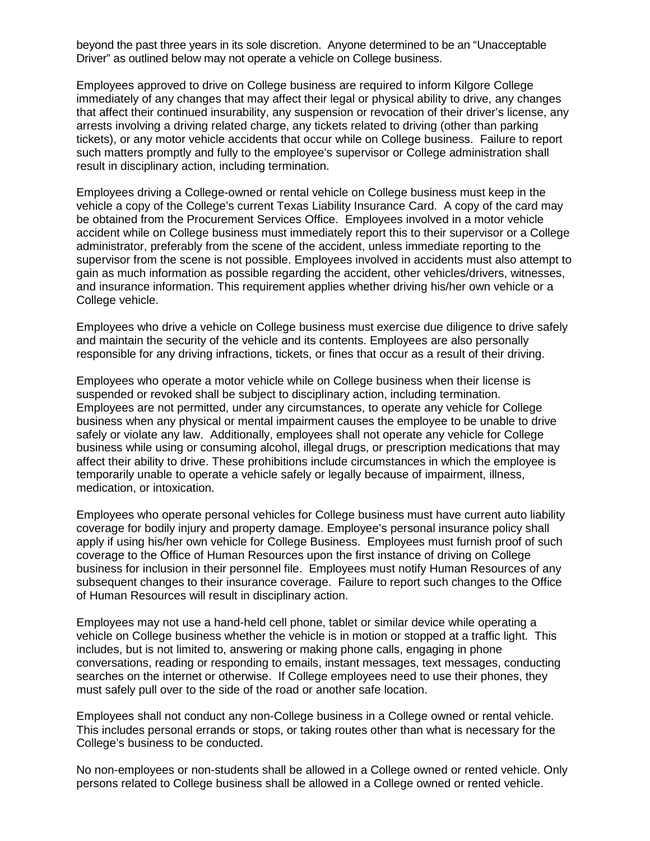beyond the past three years in its sole discretion. Anyone determined to be an "Unacceptable Driver" as outlined below may not operate a vehicle on College business.

Employees approved to drive on College business are required to inform Kilgore College immediately of any changes that may affect their legal or physical ability to drive, any changes that affect their continued insurability, any suspension or revocation of their driver's license, any arrests involving a driving related charge, any tickets related to driving (other than parking tickets), or any motor vehicle accidents that occur while on College business. Failure to report such matters promptly and fully to the employee's supervisor or College administration shall result in disciplinary action, including termination.

Employees driving a College-owned or rental vehicle on College business must keep in the vehicle a copy of the College's current Texas Liability Insurance Card. A copy of the card may be obtained from the Procurement Services Office. Employees involved in a motor vehicle accident while on College business must immediately report this to their supervisor or a College administrator, preferably from the scene of the accident, unless immediate reporting to the supervisor from the scene is not possible. Employees involved in accidents must also attempt to gain as much information as possible regarding the accident, other vehicles/drivers, witnesses, and insurance information. This requirement applies whether driving his/her own vehicle or a College vehicle.

Employees who drive a vehicle on College business must exercise due diligence to drive safely and maintain the security of the vehicle and its contents. Employees are also personally responsible for any driving infractions, tickets, or fines that occur as a result of their driving.

Employees who operate a motor vehicle while on College business when their license is suspended or revoked shall be subject to disciplinary action, including termination. Employees are not permitted, under any circumstances, to operate any vehicle for College business when any physical or mental impairment causes the employee to be unable to drive safely or violate any law. Additionally, employees shall not operate any vehicle for College business while using or consuming alcohol, illegal drugs, or prescription medications that may affect their ability to drive. These prohibitions include circumstances in which the employee is temporarily unable to operate a vehicle safely or legally because of impairment, illness, medication, or intoxication.

Employees who operate personal vehicles for College business must have current auto liability coverage for bodily injury and property damage. Employee's personal insurance policy shall apply if using his/her own vehicle for College Business. Employees must furnish proof of such coverage to the Office of Human Resources upon the first instance of driving on College business for inclusion in their personnel file. Employees must notify Human Resources of any subsequent changes to their insurance coverage. Failure to report such changes to the Office of Human Resources will result in disciplinary action.

Employees may not use a hand-held cell phone, tablet or similar device while operating a vehicle on College business whether the vehicle is in motion or stopped at a traffic light. This includes, but is not limited to, answering or making phone calls, engaging in phone conversations, reading or responding to emails, instant messages, text messages, conducting searches on the internet or otherwise. If College employees need to use their phones, they must safely pull over to the side of the road or another safe location.

Employees shall not conduct any non-College business in a College owned or rental vehicle. This includes personal errands or stops, or taking routes other than what is necessary for the College's business to be conducted.

No non-employees or non-students shall be allowed in a College owned or rented vehicle. Only persons related to College business shall be allowed in a College owned or rented vehicle.